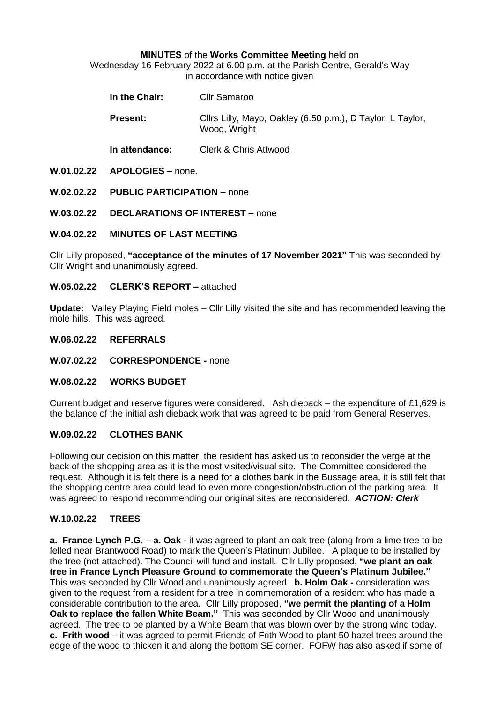#### **MINUTES** of the **Works Committee Meeting** held on

Wednesday 16 February 2022 at 6.00 p.m. at the Parish Centre, Gerald's Way in accordance with notice given

| In the Chair: | <b>Cllr Samaroo</b> |
|---------------|---------------------|
|               |                     |

**Present:** Clirs Lilly, Mayo, Oakley (6.50 p.m.), D Taylor, L Taylor, Wood, Wright

**In attendance:** Clerk & Chris Attwood

**W.01.02.22 APOLOGIES –** none.

**W.02.02.22 PUBLIC PARTICIPATION –** none

**W.03.02.22 DECLARATIONS OF INTEREST –** none

**W.04.02.22 MINUTES OF LAST MEETING**

Cllr Lilly proposed, **"acceptance of the minutes of 17 November 2021"** This was seconded by Cllr Wright and unanimously agreed.

#### **W.05.02.22 CLERK'S REPORT –** attached

**Update:** Valley Playing Field moles – Cllr Lilly visited the site and has recommended leaving the mole hills. This was agreed.

#### **W.06.02.22 REFERRALS**

**W.07.02.22 CORRESPONDENCE -** none

#### **W.08.02.22 WORKS BUDGET**

Current budget and reserve figures were considered. Ash dieback – the expenditure of £1,629 is the balance of the initial ash dieback work that was agreed to be paid from General Reserves.

### **W.09.02.22 CLOTHES BANK**

Following our decision on this matter, the resident has asked us to reconsider the verge at the back of the shopping area as it is the most visited/visual site. The Committee considered the request. Although it is felt there is a need for a clothes bank in the Bussage area, it is still felt that the shopping centre area could lead to even more congestion/obstruction of the parking area. It was agreed to respond recommending our original sites are reconsidered. *ACTION: Clerk*

### **W.10.02.22 TREES**

**a. France Lynch P.G. – a. Oak -** it was agreed to plant an oak tree (along from a lime tree to be felled near Brantwood Road) to mark the Queen's Platinum Jubilee. A plaque to be installed by the tree (not attached). The Council will fund and install. Cllr Lilly proposed, **"we plant an oak tree in France Lynch Pleasure Ground to commemorate the Queen's Platinum Jubilee."**  This was seconded by Cllr Wood and unanimously agreed. **b. Holm Oak -** consideration was given to the request from a resident for a tree in commemoration of a resident who has made a considerable contribution to the area. Cllr Lilly proposed, **"we permit the planting of a Holm Oak to replace the fallen White Beam."** This was seconded by Cllr Wood and unanimously agreed. The tree to be planted by a White Beam that was blown over by the strong wind today. **c. Frith wood –** it was agreed to permit Friends of Frith Wood to plant 50 hazel trees around the edge of the wood to thicken it and along the bottom SE corner. FOFW has also asked if some of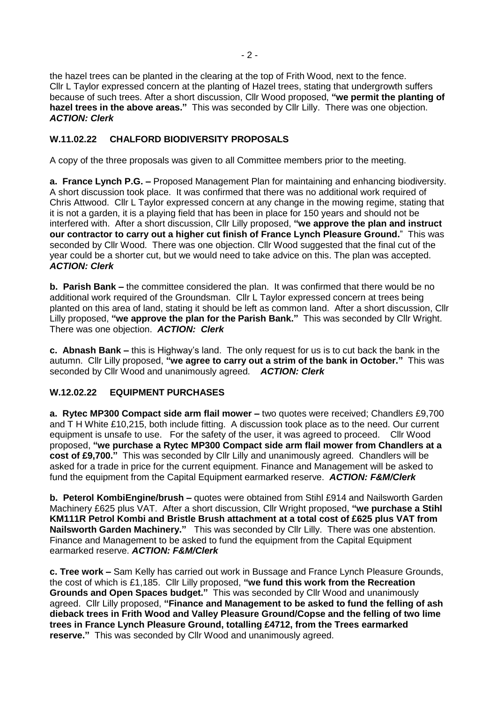the hazel trees can be planted in the clearing at the top of Frith Wood, next to the fence. Cllr L Taylor expressed concern at the planting of Hazel trees, stating that undergrowth suffers because of such trees. After a short discussion, Cllr Wood proposed, **"we permit the planting of hazel trees in the above areas."** This was seconded by Cllr Lilly. There was one objection. *ACTION: Clerk*

# **W.11.02.22 CHALFORD BIODIVERSITY PROPOSALS**

A copy of the three proposals was given to all Committee members prior to the meeting.

**a. France Lynch P.G. –** Proposed Management Plan for maintaining and enhancing biodiversity. A short discussion took place. It was confirmed that there was no additional work required of Chris Attwood. Cllr L Taylor expressed concern at any change in the mowing regime, stating that it is not a garden, it is a playing field that has been in place for 150 years and should not be interfered with. After a short discussion, Cllr Lilly proposed, **"we approve the plan and instruct our contractor to carry out a higher cut finish of France Lynch Pleasure Ground.**" This was seconded by Cllr Wood. There was one objection. Cllr Wood suggested that the final cut of the year could be a shorter cut, but we would need to take advice on this. The plan was accepted. *ACTION: Clerk*

**b. Parish Bank –** the committee considered the plan. It was confirmed that there would be no additional work required of the Groundsman. Cllr L Taylor expressed concern at trees being planted on this area of land, stating it should be left as common land. After a short discussion, Cllr Lilly proposed, **"we approve the plan for the Parish Bank."** This was seconded by Cllr Wright. There was one objection. *ACTION: Clerk*

**c. Abnash Bank –** this is Highway's land. The only request for us is to cut back the bank in the autumn. Cllr Lilly proposed, **"we agree to carry out a strim of the bank in October."** This was seconded by Cllr Wood and unanimously agreed. *ACTION: Clerk*

### **W.12.02.22 EQUIPMENT PURCHASES**

**a. Rytec MP300 Compact side arm flail mower –** two quotes were received; Chandlers £9,700 and T H White £10,215, both include fitting. A discussion took place as to the need. Our current equipment is unsafe to use. For the safety of the user, it was agreed to proceed. Cllr Wood proposed, **"we purchase a Rytec MP300 Compact side arm flail mower from Chandlers at a cost of £9,700."** This was seconded by Cllr Lilly and unanimously agreed. Chandlers will be asked for a trade in price for the current equipment. Finance and Management will be asked to fund the equipment from the Capital Equipment earmarked reserve. *ACTION: F&M/Clerk*

**b. Peterol KombiEngine/brush –** quotes were obtained from Stihl £914 and Nailsworth Garden Machinery £625 plus VAT. After a short discussion, Cllr Wright proposed, **"we purchase a Stihl KM111R Petrol Kombi and Bristle Brush attachment at a total cost of £625 plus VAT from Nailsworth Garden Machinery."** This was seconded by Cllr Lilly. There was one abstention. Finance and Management to be asked to fund the equipment from the Capital Equipment earmarked reserve. *ACTION: F&M/Clerk*

**c. Tree work –** Sam Kelly has carried out work in Bussage and France Lynch Pleasure Grounds, the cost of which is £1,185. Cllr Lilly proposed, **"we fund this work from the Recreation Grounds and Open Spaces budget."** This was seconded by Cllr Wood and unanimously agreed. Cllr Lilly proposed, **"Finance and Management to be asked to fund the felling of ash dieback trees in Frith Wood and Valley Pleasure Ground/Copse and the felling of two lime trees in France Lynch Pleasure Ground, totalling £4712, from the Trees earmarked reserve."** This was seconded by Cllr Wood and unanimously agreed.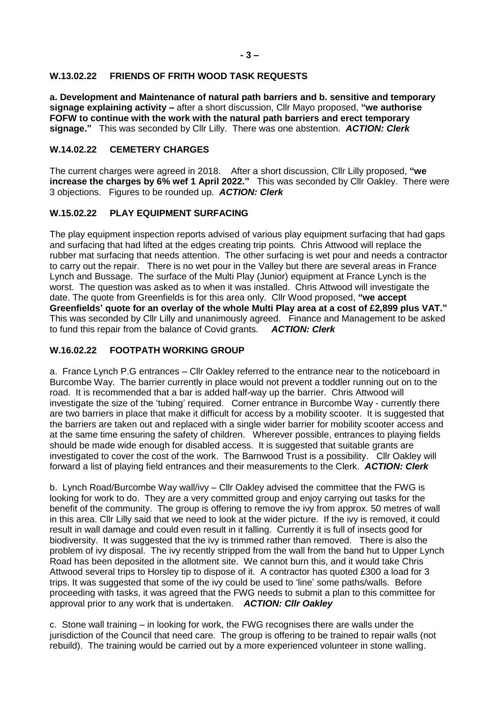### **W.13.02.22 FRIENDS OF FRITH WOOD TASK REQUESTS**

**a. Development and Maintenance of natural path barriers and b. sensitive and temporary signage explaining activity –** after a short discussion, Cllr Mayo proposed, **"we authorise FOFW to continue with the work with the natural path barriers and erect temporary signage."** This was seconded by Cllr Lilly. There was one abstention. *ACTION: Clerk*

### **W.14.02.22 CEMETERY CHARGES**

The current charges were agreed in 2018. After a short discussion, Cllr Lilly proposed, **"we increase the charges by 6% wef 1 April 2022."** This was seconded by Cllr Oakley. There were 3 objections. Figures to be rounded up. *ACTION: Clerk*

# **W.15.02.22 PLAY EQUIPMENT SURFACING**

The play equipment inspection reports advised of various play equipment surfacing that had gaps and surfacing that had lifted at the edges creating trip points. Chris Attwood will replace the rubber mat surfacing that needs attention. The other surfacing is wet pour and needs a contractor to carry out the repair. There is no wet pour in the Valley but there are several areas in France Lynch and Bussage. The surface of the Multi Play (Junior) equipment at France Lynch is the worst. The question was asked as to when it was installed. Chris Attwood will investigate the date. The quote from Greenfields is for this area only. Cllr Wood proposed, **"we accept Greenfields' quote for an overlay of the whole Multi Play area at a cost of £2,899 plus VAT."**  This was seconded by Cllr Lilly and unanimously agreed.Finance and Management to be asked to fund this repair from the balance of Covid grants. *ACTION: Clerk*

# **W.16.02.22 FOOTPATH WORKING GROUP**

a. France Lynch P.G entrances – Cllr Oakley referred to the entrance near to the noticeboard in Burcombe Way. The barrier currently in place would not prevent a toddler running out on to the road. It is recommended that a bar is added half-way up the barrier. Chris Attwood will investigate the size of the 'tubing' required. Corner entrance in Burcombe Way - currently there are two barriers in place that make it difficult for access by a mobility scooter. It is suggested that the barriers are taken out and replaced with a single wider barrier for mobility scooter access and at the same time ensuring the safety of children. Wherever possible, entrances to playing fields should be made wide enough for disabled access. It is suggested that suitable grants are investigated to cover the cost of the work. The Barnwood Trust is a possibility. Cllr Oakley will forward a list of playing field entrances and their measurements to the Clerk. *ACTION: Clerk*

b. Lynch Road/Burcombe Way wall/ivy – Cllr Oakley advised the committee that the FWG is looking for work to do. They are a very committed group and enjoy carrying out tasks for the benefit of the community. The group is offering to remove the ivy from approx. 50 metres of wall in this area. Cllr Lilly said that we need to look at the wider picture. If the ivy is removed, it could result in wall damage and could even result in it falling. Currently it is full of insects good for biodiversity. It was suggested that the ivy is trimmed rather than removed. There is also the problem of ivy disposal. The ivy recently stripped from the wall from the band hut to Upper Lynch Road has been deposited in the allotment site. We cannot burn this, and it would take Chris Attwood several trips to Horsley tip to dispose of it. A contractor has quoted £300 a load for 3 trips. It was suggested that some of the ivy could be used to 'line' some paths/walls. Before proceeding with tasks, it was agreed that the FWG needs to submit a plan to this committee for approval prior to any work that is undertaken. *ACTION: Cllr Oakley*

c. Stone wall training – in looking for work, the FWG recognises there are walls under the jurisdiction of the Council that need care. The group is offering to be trained to repair walls (not rebuild). The training would be carried out by a more experienced volunteer in stone walling.